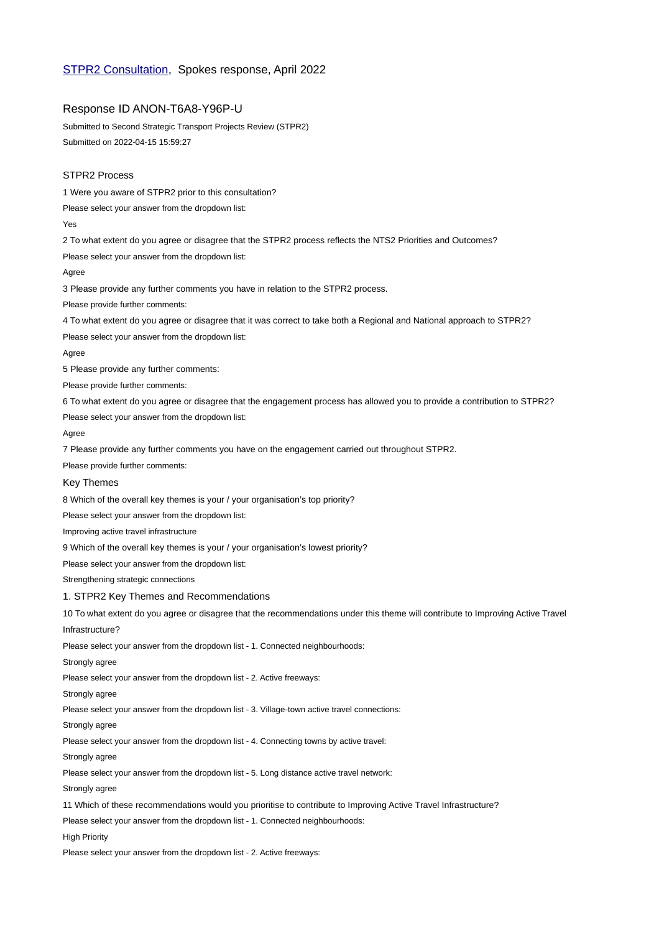# [STPR2 Consultation,](https://www.transport.gov.scot/consultation/consultation-on-the-draft-second-strategic-transport-projects-review-stpr2-for-scotland/) Spokes response, April 2022

# Response ID ANON-T6A8-Y96P-U

Submitted to Second Strategic Transport Projects Review (STPR2) Submitted on 2022-04-15 15:59:27

### STPR2 Process

1 Were you aware of STPR2 prior to this consultation?

Please select your answer from the dropdown list:

Yes

2 To what extent do you agree or disagree that the STPR2 process reflects the NTS2 Priorities and Outcomes?

Please select your answer from the dropdown list:

Agree

3 Please provide any further comments you have in relation to the STPR2 process.

Please provide further comments:

4 To what extent do you agree or disagree that it was correct to take both a Regional and National approach to STPR2?

Please select your answer from the dropdown list:

Agree

5 Please provide any further comments:

Please provide further comments:

6 To what extent do you agree or disagree that the engagement process has allowed you to provide a contribution to STPR2?

Please select your answer from the dropdown list:

Agree

7 Please provide any further comments you have on the engagement carried out throughout STPR2.

Please provide further comments:

## Key Themes

8 Which of the overall key themes is your / your organisation's top priority?

Please select your answer from the dropdown list:

Improving active travel infrastructure

9 Which of the overall key themes is your / your organisation's lowest priority?

Please select your answer from the dropdown list:

Strengthening strategic connections

#### 1. STPR2 Key Themes and Recommendations

10 To what extent do you agree or disagree that the recommendations under this theme will contribute to Improving Active Travel Infrastructure?

Please select your answer from the dropdown list - 1. Connected neighbourhoods:

Strongly agree

Please select your answer from the dropdown list - 2. Active freeways:

Strongly agree

Please select your answer from the dropdown list - 3. Village-town active travel connections:

Strongly agree

Please select your answer from the dropdown list - 4. Connecting towns by active travel:

Strongly agree

Please select your answer from the dropdown list - 5. Long distance active travel network:

Strongly agree

11 Which of these recommendations would you prioritise to contribute to Improving Active Travel Infrastructure?

Please select your answer from the dropdown list - 1. Connected neighbourhoods:

High Priority

Please select your answer from the dropdown list - 2. Active freeways: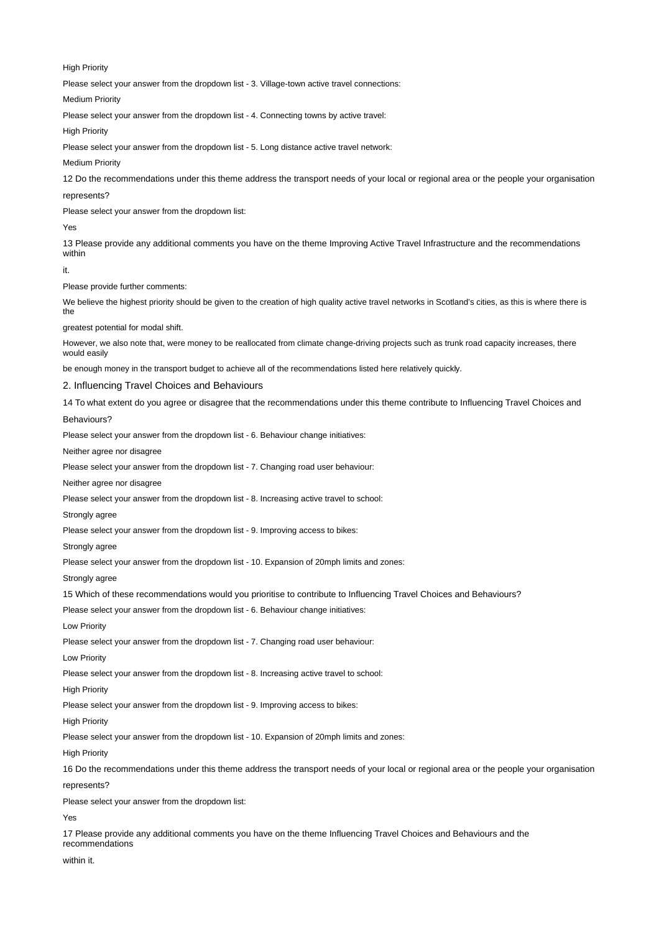High Priority

Please select your answer from the dropdown list - 3. Village-town active travel connections:

Medium Priority

Please select your answer from the dropdown list - 4. Connecting towns by active travel:

High Priority

Please select your answer from the dropdown list - 5. Long distance active travel network:

Medium Priority

12 Do the recommendations under this theme address the transport needs of your local or regional area or the people your organisation

#### represents?

Please select your answer from the dropdown list:

Yes

13 Please provide any additional comments you have on the theme Improving Active Travel Infrastructure and the recommendations within

it.

Please provide further comments:

We believe the highest priority should be given to the creation of high quality active travel networks in Scotland's cities, as this is where there is the

greatest potential for modal shift.

However, we also note that, were money to be reallocated from climate change-driving projects such as trunk road capacity increases, there would easily

be enough money in the transport budget to achieve all of the recommendations listed here relatively quickly.

2. Influencing Travel Choices and Behaviours

14 To what extent do you agree or disagree that the recommendations under this theme contribute to Influencing Travel Choices and Behaviours?

Please select your answer from the dropdown list - 6. Behaviour change initiatives:

Neither agree nor disagree

Please select your answer from the dropdown list - 7. Changing road user behaviour:

Neither agree nor disagree

Please select your answer from the dropdown list - 8. Increasing active travel to school:

Strongly agree

Please select your answer from the dropdown list - 9. Improving access to bikes:

Strongly agree

Please select your answer from the dropdown list - 10. Expansion of 20mph limits and zones:

Strongly agree

15 Which of these recommendations would you prioritise to contribute to Influencing Travel Choices and Behaviours?

Please select your answer from the dropdown list - 6. Behaviour change initiatives:

Low Priority

Please select your answer from the dropdown list - 7. Changing road user behaviour:

Low Priority

Please select your answer from the dropdown list - 8. Increasing active travel to school:

High Priority

Please select your answer from the dropdown list - 9. Improving access to bikes:

High Priority

Please select your answer from the dropdown list - 10. Expansion of 20mph limits and zones:

High Priority

16 Do the recommendations under this theme address the transport needs of your local or regional area or the people your organisation represents?

Please select your answer from the dropdown list:

Yes

17 Please provide any additional comments you have on the theme Influencing Travel Choices and Behaviours and the recommendations

within it.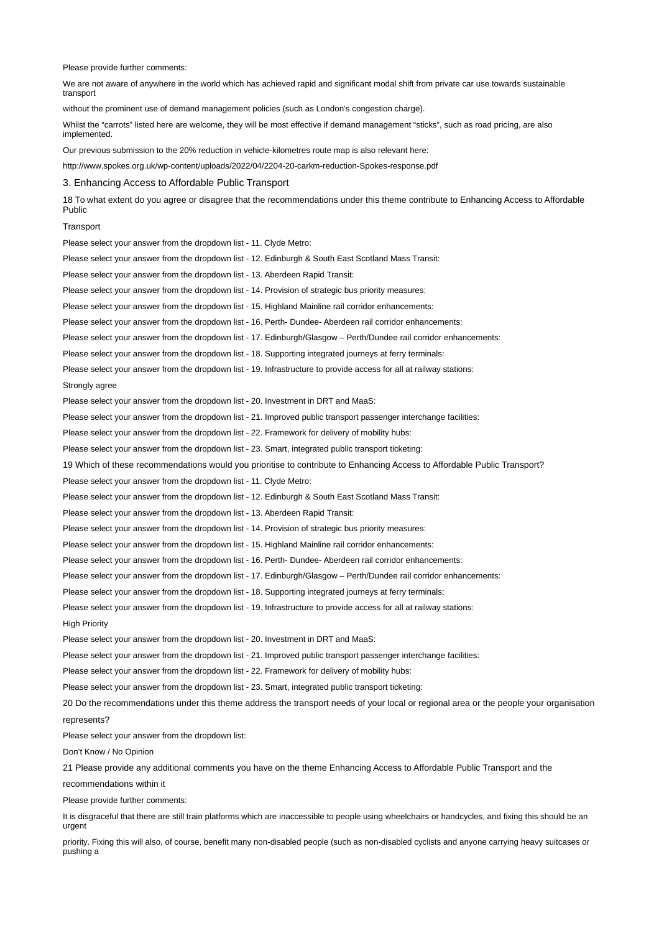Please provide further comments:

We are not aware of anywhere in the world which has achieved rapid and significant modal shift from private car use towards sustainable transport

without the prominent use of demand management policies (such as London's congestion charge).

Whilst the "carrots" listed here are welcome, they will be most effective if demand management "sticks", such as road pricing, are also implemented.

Our previous submission to the 20% reduction in vehicle-kilometres route map is also relevant here:

http://www.spokes.org.uk/wp-content/uploads/2022/04/2204-20-carkm-reduction-Spokes-response.pdf

3. Enhancing Access to Affordable Public Transport

18 To what extent do you agree or disagree that the recommendations under this theme contribute to Enhancing Access to Affordable Public

### **Transport**

Please select your answer from the dropdown list - 11. Clyde Metro: Please select your answer from the dropdown list - 12. Edinburgh & South East Scotland Mass Transit: Please select your answer from the dropdown list - 13. Aberdeen Rapid Transit: Please select your answer from the dropdown list - 14. Provision of strategic bus priority measures: Please select your answer from the dropdown list - 15. Highland Mainline rail corridor enhancements: Please select your answer from the dropdown list - 16. Perth- Dundee- Aberdeen rail corridor enhancements: Please select your answer from the dropdown list - 17. Edinburgh/Glasgow – Perth/Dundee rail corridor enhancements: Please select your answer from the dropdown list - 18. Supporting integrated journeys at ferry terminals: Please select your answer from the dropdown list - 19. Infrastructure to provide access for all at railway stations: Strongly agree Please select your answer from the dropdown list - 20. Investment in DRT and MaaS: Please select your answer from the dropdown list - 21. Improved public transport passenger interchange facilities: Please select your answer from the dropdown list - 22. Framework for delivery of mobility hubs: Please select your answer from the dropdown list - 23. Smart, integrated public transport ticketing: 19 Which of these recommendations would you prioritise to contribute to Enhancing Access to Affordable Public Transport? Please select your answer from the dropdown list - 11. Clyde Metro: Please select your answer from the dropdown list - 12. Edinburgh & South East Scotland Mass Transit: Please select your answer from the dropdown list - 13. Aberdeen Rapid Transit: Please select your answer from the dropdown list - 14. Provision of strategic bus priority measures: Please select your answer from the dropdown list - 15. Highland Mainline rail corridor enhancements: Please select your answer from the dropdown list - 16. Perth- Dundee- Aberdeen rail corridor enhancements: Please select your answer from the dropdown list - 17. Edinburgh/Glasgow – Perth/Dundee rail corridor enhancements: Please select your answer from the dropdown list - 18. Supporting integrated journeys at ferry terminals: Please select your answer from the dropdown list - 19. Infrastructure to provide access for all at railway stations: High Priority Please select your answer from the dropdown list - 20. Investment in DRT and MaaS: Please select your answer from the dropdown list - 21. Improved public transport passenger interchange facilities: Please select your answer from the dropdown list - 22. Framework for delivery of mobility hubs: Please select your answer from the dropdown list - 23. Smart, integrated public transport ticketing: 20 Do the recommendations under this theme address the transport needs of your local or regional area or the people your organisation represents? Please select your answer from the dropdown list: Don't Know / No Opinion 21 Please provide any additional comments you have on the theme Enhancing Access to Affordable Public Transport and the recommendations within it Please provide further comments:

It is disgraceful that there are still train platforms which are inaccessible to people using wheelchairs or handcycles, and fixing this should be an urgent

priority. Fixing this will also, of course, benefit many non-disabled people (such as non-disabled cyclists and anyone carrying heavy suitcases or pushing a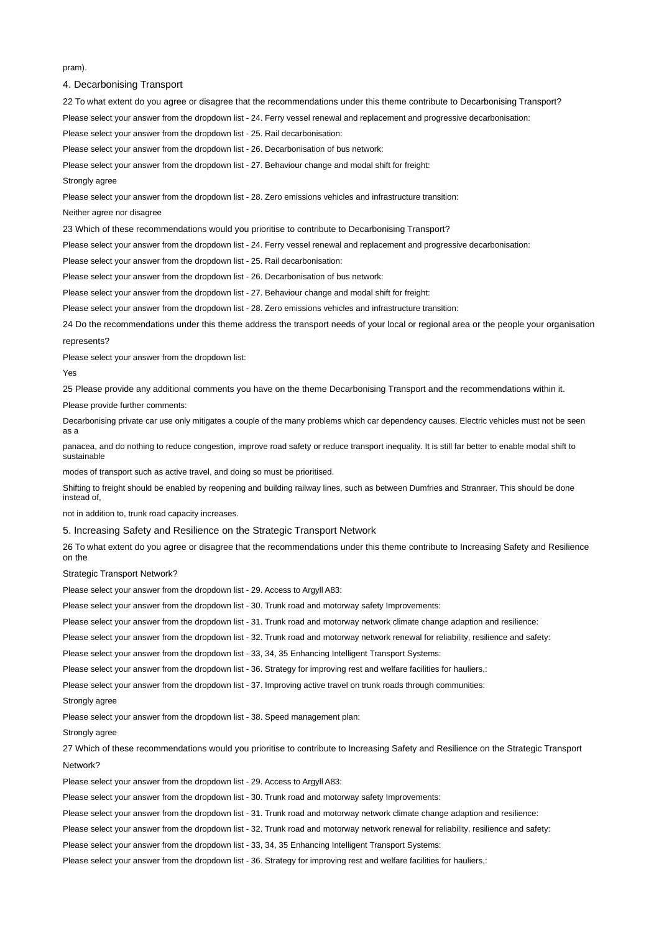pram).

4. Decarbonising Transport

22 To what extent do you agree or disagree that the recommendations under this theme contribute to Decarbonising Transport?

Please select your answer from the dropdown list - 24. Ferry vessel renewal and replacement and progressive decarbonisation:

Please select your answer from the dropdown list - 25. Rail decarbonisation:

Please select your answer from the dropdown list - 26. Decarbonisation of bus network:

Please select your answer from the dropdown list - 27. Behaviour change and modal shift for freight:

Strongly agree

Please select your answer from the dropdown list - 28. Zero emissions vehicles and infrastructure transition:

Neither agree nor disagree

23 Which of these recommendations would you prioritise to contribute to Decarbonising Transport?

Please select your answer from the dropdown list - 24. Ferry vessel renewal and replacement and progressive decarbonisation:

Please select your answer from the dropdown list - 25. Rail decarbonisation:

Please select your answer from the dropdown list - 26. Decarbonisation of bus network:

Please select your answer from the dropdown list - 27. Behaviour change and modal shift for freight:

Please select your answer from the dropdown list - 28. Zero emissions vehicles and infrastructure transition:

24 Do the recommendations under this theme address the transport needs of your local or regional area or the people your organisation represents?

Please select your answer from the dropdown list:

#### Yes

25 Please provide any additional comments you have on the theme Decarbonising Transport and the recommendations within it.

Please provide further comments:

Decarbonising private car use only mitigates a couple of the many problems which car dependency causes. Electric vehicles must not be seen as a

panacea, and do nothing to reduce congestion, improve road safety or reduce transport inequality. It is still far better to enable modal shift to sustainable

modes of transport such as active travel, and doing so must be prioritised.

Shifting to freight should be enabled by reopening and building railway lines, such as between Dumfries and Stranraer. This should be done instead of,

not in addition to, trunk road capacity increases.

5. Increasing Safety and Resilience on the Strategic Transport Network

26 To what extent do you agree or disagree that the recommendations under this theme contribute to Increasing Safety and Resilience on the

Strategic Transport Network?

Please select your answer from the dropdown list - 29. Access to Argyll A83:

Please select your answer from the dropdown list - 30. Trunk road and motorway safety Improvements:

Please select your answer from the dropdown list - 31. Trunk road and motorway network climate change adaption and resilience:

Please select your answer from the dropdown list - 32. Trunk road and motorway network renewal for reliability, resilience and safety:

Please select your answer from the dropdown list - 33, 34, 35 Enhancing Intelligent Transport Systems:

Please select your answer from the dropdown list - 36. Strategy for improving rest and welfare facilities for hauliers,:

Please select your answer from the dropdown list - 37. Improving active travel on trunk roads through communities:

### Strongly agree

Please select your answer from the dropdown list - 38. Speed management plan:

## Strongly agree

27 Which of these recommendations would you prioritise to contribute to Increasing Safety and Resilience on the Strategic Transport Network?

Please select your answer from the dropdown list - 29. Access to Argyll A83:

Please select your answer from the dropdown list - 30. Trunk road and motorway safety Improvements:

Please select your answer from the dropdown list - 31. Trunk road and motorway network climate change adaption and resilience:

Please select your answer from the dropdown list - 32. Trunk road and motorway network renewal for reliability, resilience and safety:

Please select your answer from the dropdown list - 33, 34, 35 Enhancing Intelligent Transport Systems:

Please select your answer from the dropdown list - 36. Strategy for improving rest and welfare facilities for hauliers,: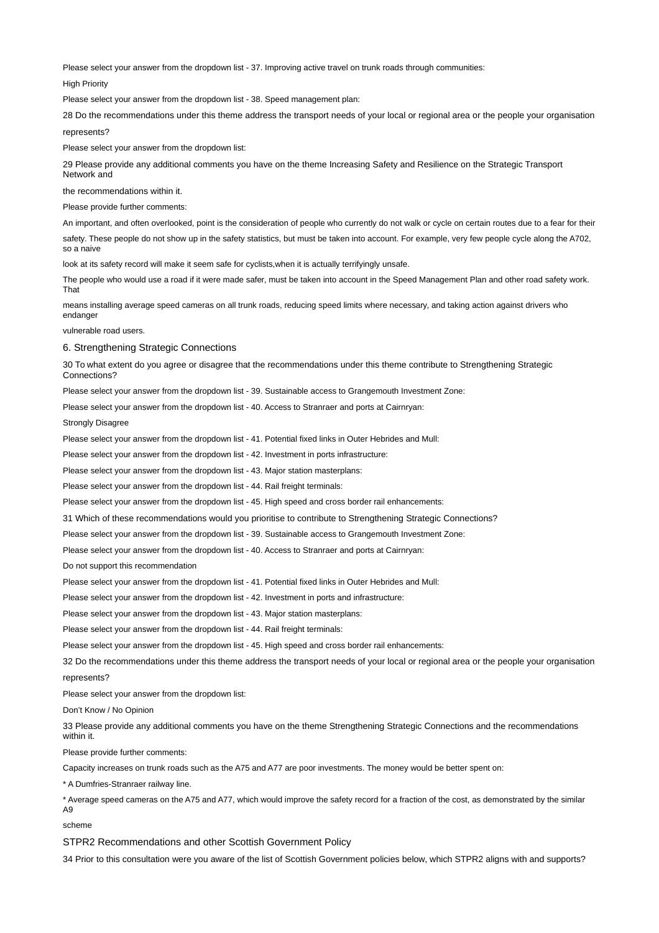Please select your answer from the dropdown list - 37. Improving active travel on trunk roads through communities:

High Priority

Please select your answer from the dropdown list - 38. Speed management plan:

28 Do the recommendations under this theme address the transport needs of your local or regional area or the people your organisation represents?

Please select your answer from the dropdown list:

29 Please provide any additional comments you have on the theme Increasing Safety and Resilience on the Strategic Transport Network and

the recommendations within it.

Please provide further comments:

An important, and often overlooked, point is the consideration of people who currently do not walk or cycle on certain routes due to a fear for their safety. These people do not show up in the safety statistics, but must be taken into account. For example, very few people cycle along the A702, so a naive

look at its safety record will make it seem safe for cyclists,when it is actually terrifyingly unsafe.

The people who would use a road if it were made safer, must be taken into account in the Speed Management Plan and other road safety work. That

means installing average speed cameras on all trunk roads, reducing speed limits where necessary, and taking action against drivers who endanger

vulnerable road users.

6. Strengthening Strategic Connections

30 To what extent do you agree or disagree that the recommendations under this theme contribute to Strengthening Strategic Connections?

Please select your answer from the dropdown list - 39. Sustainable access to Grangemouth Investment Zone:

Please select your answer from the dropdown list - 40. Access to Stranraer and ports at Cairnryan:

Strongly Disagree

Please select your answer from the dropdown list - 41. Potential fixed links in Outer Hebrides and Mull:

Please select your answer from the dropdown list - 42. Investment in ports infrastructure:

Please select your answer from the dropdown list - 43. Major station masterplans:

Please select your answer from the dropdown list - 44. Rail freight terminals:

Please select your answer from the dropdown list - 45. High speed and cross border rail enhancements:

31 Which of these recommendations would you prioritise to contribute to Strengthening Strategic Connections?

Please select your answer from the dropdown list - 39. Sustainable access to Grangemouth Investment Zone:

Please select your answer from the dropdown list - 40. Access to Stranraer and ports at Cairnryan:

Do not support this recommendation

Please select your answer from the dropdown list - 41. Potential fixed links in Outer Hebrides and Mull:

Please select your answer from the dropdown list - 42. Investment in ports and infrastructure:

Please select your answer from the dropdown list - 43. Major station masterplans:

Please select your answer from the dropdown list - 44. Rail freight terminals:

Please select your answer from the dropdown list - 45. High speed and cross border rail enhancements:

32 Do the recommendations under this theme address the transport needs of your local or regional area or the people your organisation represents?

Please select your answer from the dropdown list:

Don't Know / No Opinion

33 Please provide any additional comments you have on the theme Strengthening Strategic Connections and the recommendations within it.

Please provide further comments:

Capacity increases on trunk roads such as the A75 and A77 are poor investments. The money would be better spent on:

\* A Dumfries-Stranraer railway line.

\* Average speed cameras on the A75 and A77, which would improve the safety record for a fraction of the cost, as demonstrated by the similar A9

scheme

STPR2 Recommendations and other Scottish Government Policy

34 Prior to this consultation were you aware of the list of Scottish Government policies below, which STPR2 aligns with and supports?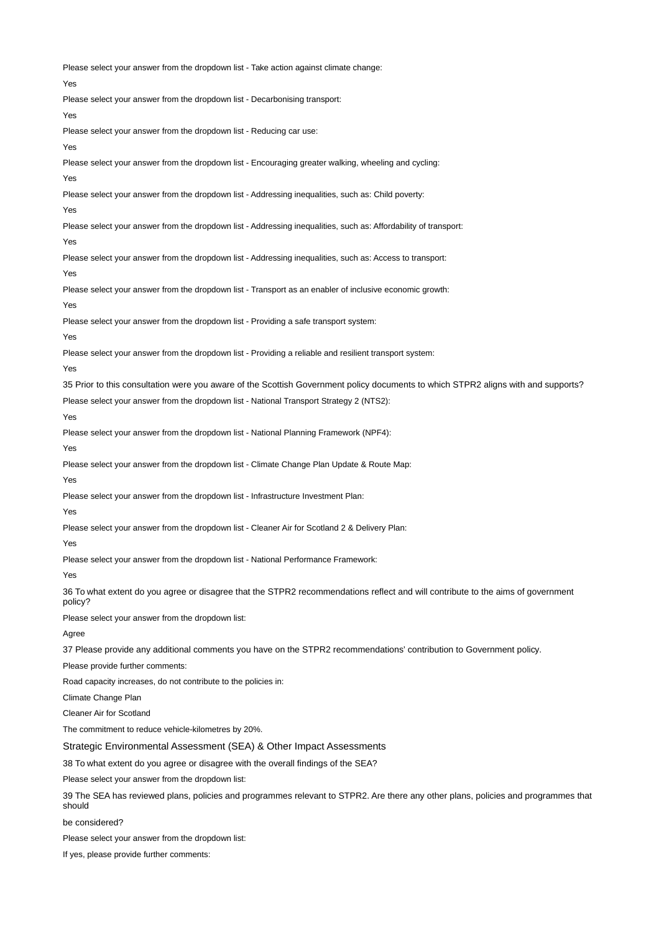Please select your answer from the dropdown list - Take action against climate change: Yes Please select your answer from the dropdown list - Decarbonising transport: Yes Please select your answer from the dropdown list - Reducing car use: Yes Please select your answer from the dropdown list - Encouraging greater walking, wheeling and cycling: Yes Please select your answer from the dropdown list - Addressing inequalities, such as: Child poverty: Yes Please select your answer from the dropdown list - Addressing inequalities, such as: Affordability of transport: Yes Please select your answer from the dropdown list - Addressing inequalities, such as: Access to transport: Yes Please select your answer from the dropdown list - Transport as an enabler of inclusive economic growth: Yes Please select your answer from the dropdown list - Providing a safe transport system: Yes Please select your answer from the dropdown list - Providing a reliable and resilient transport system: Yes 35 Prior to this consultation were you aware of the Scottish Government policy documents to which STPR2 aligns with and supports? Please select your answer from the dropdown list - National Transport Strategy 2 (NTS2): Yes Please select your answer from the dropdown list - National Planning Framework (NPF4): Yes Please select your answer from the dropdown list - Climate Change Plan Update & Route Map: Yes Please select your answer from the dropdown list - Infrastructure Investment Plan: Yes Please select your answer from the dropdown list - Cleaner Air for Scotland 2 & Delivery Plan: Yes Please select your answer from the dropdown list - National Performance Framework: Yes 36 To what extent do you agree or disagree that the STPR2 recommendations reflect and will contribute to the aims of government policy? Please select your answer from the dropdown list: Agree 37 Please provide any additional comments you have on the STPR2 recommendations' contribution to Government policy. Please provide further comments: Road capacity increases, do not contribute to the policies in: Climate Change Plan Cleaner Air for Scotland The commitment to reduce vehicle-kilometres by 20%. Strategic Environmental Assessment (SEA) & Other Impact Assessments 38 To what extent do you agree or disagree with the overall findings of the SEA? Please select your answer from the dropdown list: 39 The SEA has reviewed plans, policies and programmes relevant to STPR2. Are there any other plans, policies and programmes that should be considered? Please select your answer from the dropdown list:

If yes, please provide further comments: